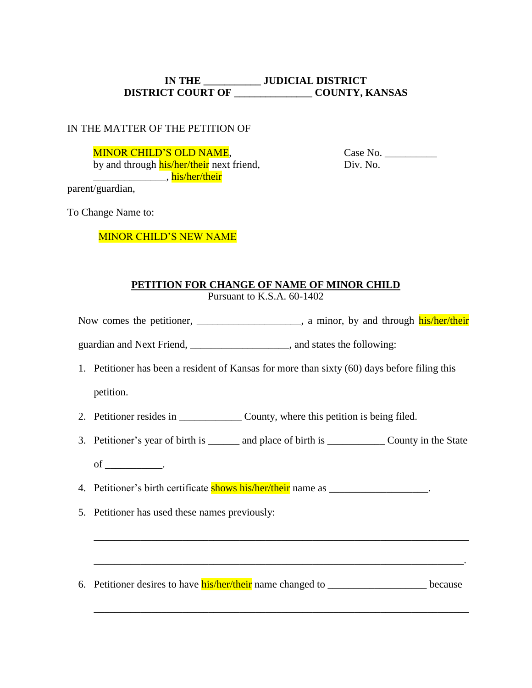# **IN THE \_\_\_\_\_\_\_\_\_\_\_ JUDICIAL DISTRICT DISTRICT COURT OF \_\_\_\_\_\_\_\_\_\_\_\_\_\_\_ COUNTY, KANSAS**

### IN THE MATTER OF THE PETITION OF

MINOR CHILD'S OLD NAME,

by and through his/her/their next friend, \_\_\_\_\_\_\_\_\_\_\_\_\_\_, his/her/their

 Case No. \_\_\_\_\_\_\_\_\_\_ Div. No.

parent/guardian,

To Change Name to:

MINOR CHILD'S NEW NAME

# **PETITION FOR CHANGE OF NAME OF MINOR CHILD**

Pursuant to K.S.A. 60-1402

Now comes the petitioner, \_\_\_\_\_\_\_\_\_\_\_\_\_\_\_\_, a minor, by and through his/her/their

guardian and Next Friend, the same states that following:

1. Petitioner has been a resident of Kansas for more than sixty (60) days before filing this

petition.

- 2. Petitioner resides in \_\_\_\_\_\_\_\_\_\_\_\_\_\_\_\_ County, where this petition is being filed.
- 3. Petitioner's year of birth is \_\_\_\_\_\_ and place of birth is \_\_\_\_\_\_\_\_\_\_\_\_ County in the State
	- of \_\_\_\_\_\_\_\_\_\_\_.
- 4. Petitioner's birth certificate shows his/her/their name as \_\_\_\_\_\_\_\_\_\_\_\_\_\_\_\_\_\_.
- 5. Petitioner has used these names previously:
- 6. Petitioner desires to have **his/her/their** name changed to \_\_\_\_\_\_\_\_\_\_\_\_\_\_\_\_\_\_\_\_\_\_\_\_ because

\_\_\_\_\_\_\_\_\_\_\_\_\_\_\_\_\_\_\_\_\_\_\_\_\_\_\_\_\_\_\_\_\_\_\_\_\_\_\_\_\_\_\_\_\_\_\_\_\_\_\_\_\_\_\_\_\_\_\_\_\_\_\_\_\_\_\_\_\_\_\_\_

\_\_\_\_\_\_\_\_\_\_\_\_\_\_\_\_\_\_\_\_\_\_\_\_\_\_\_\_\_\_\_\_\_\_\_\_\_\_\_\_\_\_\_\_\_\_\_\_\_\_\_\_\_\_\_\_\_\_\_\_\_\_\_\_\_\_\_\_\_\_\_.

\_\_\_\_\_\_\_\_\_\_\_\_\_\_\_\_\_\_\_\_\_\_\_\_\_\_\_\_\_\_\_\_\_\_\_\_\_\_\_\_\_\_\_\_\_\_\_\_\_\_\_\_\_\_\_\_\_\_\_\_\_\_\_\_\_\_\_\_\_\_\_\_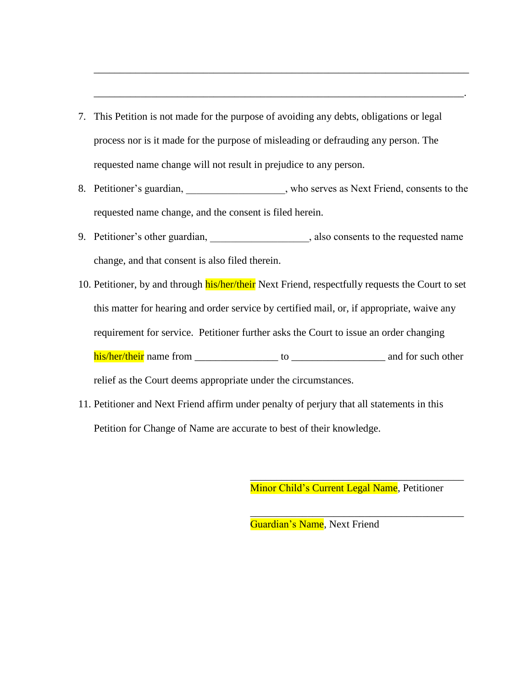- 7. This Petition is not made for the purpose of avoiding any debts, obligations or legal process nor is it made for the purpose of misleading or defrauding any person. The requested name change will not result in prejudice to any person.
- 8. Petitioner's guardian, who serves as Next Friend, consents to the requested name change, and the consent is filed herein.

\_\_\_\_\_\_\_\_\_\_\_\_\_\_\_\_\_\_\_\_\_\_\_\_\_\_\_\_\_\_\_\_\_\_\_\_\_\_\_\_\_\_\_\_\_\_\_\_\_\_\_\_\_\_\_\_\_\_\_\_\_\_\_\_\_\_\_\_\_\_\_\_

\_\_\_\_\_\_\_\_\_\_\_\_\_\_\_\_\_\_\_\_\_\_\_\_\_\_\_\_\_\_\_\_\_\_\_\_\_\_\_\_\_\_\_\_\_\_\_\_\_\_\_\_\_\_\_\_\_\_\_\_\_\_\_\_\_\_\_\_\_\_\_.

- 9. Petitioner's other guardian, salso consents to the requested name change, and that consent is also filed therein.
- 10. Petitioner, by and through his/her/their Next Friend, respectfully requests the Court to set this matter for hearing and order service by certified mail, or, if appropriate, waive any requirement for service. Petitioner further asks the Court to issue an order changing his/her/their name from \_\_\_\_\_\_\_\_\_\_\_\_\_\_\_\_ to \_\_\_\_\_\_\_\_\_\_\_\_\_\_\_\_\_\_ and for such other relief as the Court deems appropriate under the circumstances.
- 11. Petitioner and Next Friend affirm under penalty of perjury that all statements in this Petition for Change of Name are accurate to best of their knowledge.

Minor Child's Current Legal Name, Petitioner

\_\_\_\_\_\_\_\_\_\_\_\_\_\_\_\_\_\_\_\_\_\_\_\_\_\_\_\_\_\_\_\_\_\_\_\_\_\_\_\_\_

\_\_\_\_\_\_\_\_\_\_\_\_\_\_\_\_\_\_\_\_\_\_\_\_\_\_\_\_\_\_\_\_\_\_\_\_\_\_\_\_\_

Guardian's Name, Next Friend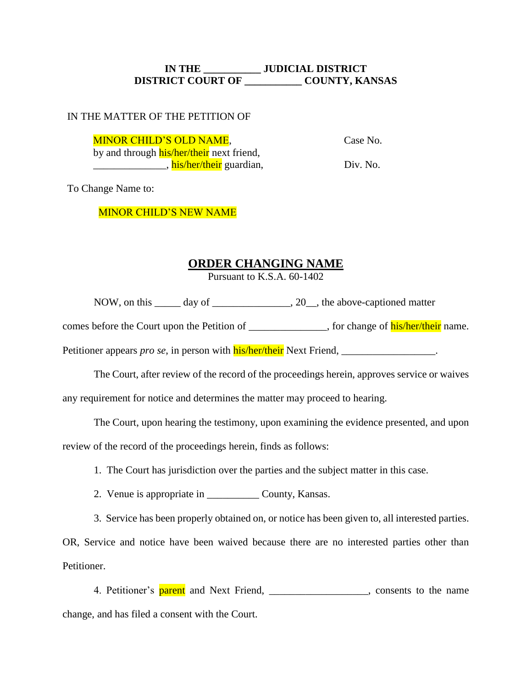# **IN THE \_\_\_\_\_\_\_\_\_\_\_ JUDICIAL DISTRICT DISTRICT COURT OF \_\_\_\_\_\_\_\_\_\_\_ COUNTY, KANSAS**

### IN THE MATTER OF THE PETITION OF

MINOR CHILD'S OLD NAME,

Case No.

by and through **his/her/their** next friend, \_\_\_\_\_\_\_\_\_\_\_\_\_\_\_\_\_\_, his/her/their guardian,

Div. No.

To Change Name to:

MINOR CHILD'S NEW NAME

# **ORDER CHANGING NAME**

Pursuant to K.S.A. 60-1402

NOW, on this day of \_\_\_\_\_\_\_\_\_\_\_\_\_\_\_\_\_\_\_\_\_\_\_\_, 20\_\_\_, the above-captioned matter

comes before the Court upon the Petition of , for change of his/her/their name.

Petitioner appears *pro se*, in person with **his/her/their** Next Friend, \_\_\_\_\_\_\_\_\_\_\_\_\_\_\_\_\_\_\_.

The Court, after review of the record of the proceedings herein, approves service or waives

any requirement for notice and determines the matter may proceed to hearing.

The Court, upon hearing the testimony, upon examining the evidence presented, and upon

review of the record of the proceedings herein, finds as follows:

1. The Court has jurisdiction over the parties and the subject matter in this case.

2. Venue is appropriate in County, Kansas.

3. Service has been properly obtained on, or notice has been given to, all interested parties.

OR, Service and notice have been waived because there are no interested parties other than Petitioner.

4. Petitioner's **parent** and Next Friend, \_\_\_\_\_\_\_\_\_\_\_\_\_\_\_\_\_\_, consents to the name change, and has filed a consent with the Court.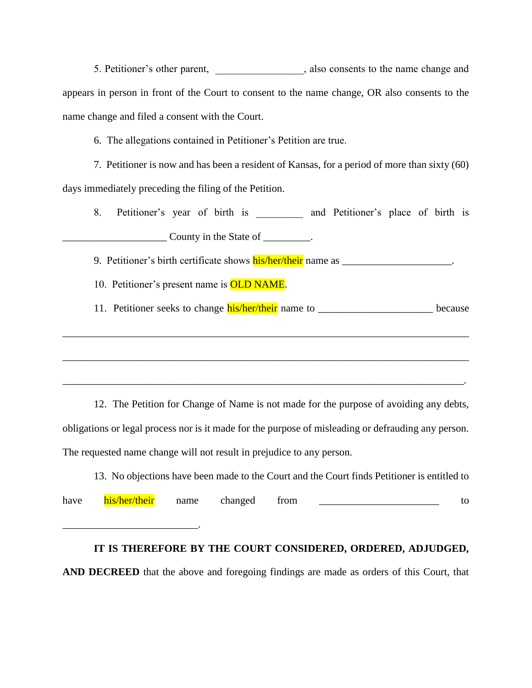5. Petitioner's other parent,  $\qquad \qquad$ , also consents to the name change and appears in person in front of the Court to consent to the name change, OR also consents to the name change and filed a consent with the Court.

6. The allegations contained in Petitioner's Petition are true.

7. Petitioner is now and has been a resident of Kansas, for a period of more than sixty (60) days immediately preceding the filing of the Petition.

8. Petitioner's year of birth is and Petitioner's place of birth is  $\frac{1}{2}$  County in the State of  $\frac{1}{2}$ .

9. Petitioner's birth certificate shows his/her/their name as \_\_\_\_\_\_\_\_\_\_\_\_\_\_\_\_\_\_\_.

10. Petitioner's present name is OLD NAME.

11. Petitioner seeks to change **his/her/their** name to \_\_\_\_\_\_\_\_\_\_\_\_\_\_\_\_\_\_\_\_\_\_\_\_\_\_ because

12. The Petition for Change of Name is not made for the purpose of avoiding any debts, obligations or legal process nor is it made for the purpose of misleading or defrauding any person. The requested name change will not result in prejudice to any person.

\_\_\_\_\_\_\_\_\_\_\_\_\_\_\_\_\_\_\_\_\_\_\_\_\_\_\_\_\_\_\_\_\_\_\_\_\_\_\_\_\_\_\_\_\_\_\_\_\_\_\_\_\_\_\_\_\_\_\_\_\_\_\_\_\_\_\_\_\_\_\_\_\_\_\_\_\_\_

\_\_\_\_\_\_\_\_\_\_\_\_\_\_\_\_\_\_\_\_\_\_\_\_\_\_\_\_\_\_\_\_\_\_\_\_\_\_\_\_\_\_\_\_\_\_\_\_\_\_\_\_\_\_\_\_\_\_\_\_\_\_\_\_\_\_\_\_\_\_\_\_\_\_\_\_\_\_

\_\_\_\_\_\_\_\_\_\_\_\_\_\_\_\_\_\_\_\_\_\_\_\_\_\_\_\_\_\_\_\_\_\_\_\_\_\_\_\_\_\_\_\_\_\_\_\_\_\_\_\_\_\_\_\_\_\_\_\_\_\_\_\_\_\_\_\_\_\_\_\_\_\_\_\_\_.

13. No objections have been made to the Court and the Court finds Petitioner is entitled to have his/her/their name changed from to \_\_\_\_\_\_\_\_\_\_\_\_\_\_\_\_\_\_\_\_\_\_\_\_\_\_.

#### **IT IS THEREFORE BY THE COURT CONSIDERED, ORDERED, ADJUDGED,**

**AND DECREED** that the above and foregoing findings are made as orders of this Court, that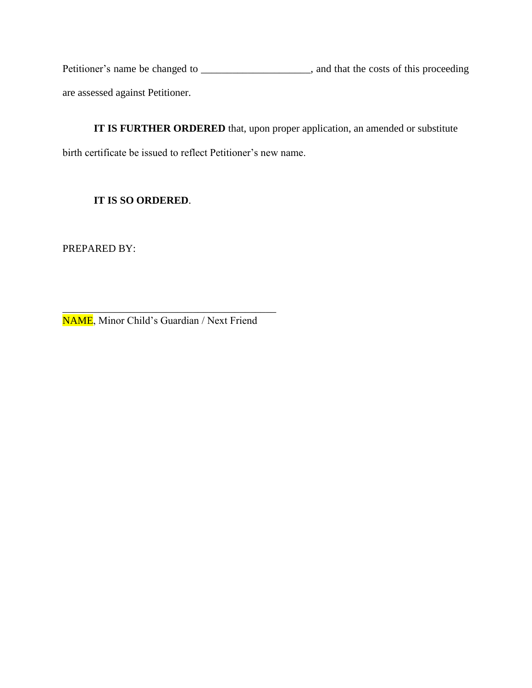Petitioner's name be changed to \_\_\_\_\_\_\_\_\_\_\_\_\_\_\_\_\_\_\_\_, and that the costs of this proceeding are assessed against Petitioner.

**IT IS FURTHER ORDERED** that, upon proper application, an amended or substitute birth certificate be issued to reflect Petitioner's new name.

# **IT IS SO ORDERED**.

PREPARED BY:

\_\_\_\_\_\_\_\_\_\_\_\_\_\_\_\_\_\_\_\_\_\_\_\_\_\_\_\_\_\_\_\_\_\_\_\_\_\_\_\_\_ NAME, Minor Child's Guardian / Next Friend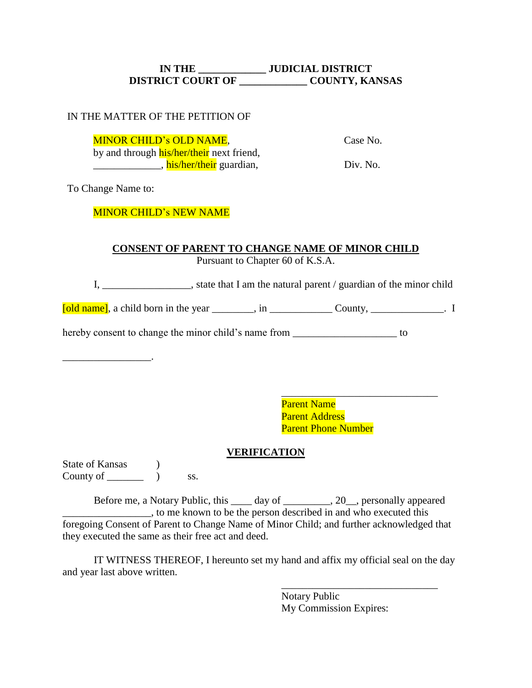# **IN THE \_\_\_\_\_\_\_\_\_\_\_\_\_ JUDICIAL DISTRICT DISTRICT COURT OF \_\_\_\_\_\_\_\_\_\_\_\_\_ COUNTY, KANSAS**

## IN THE MATTER OF THE PETITION OF

MINOR CHILD's OLD NAME,

Case No.

\_\_\_\_\_\_\_\_\_\_\_\_\_\_\_\_, his/her/their guardian,

by and through his/her/their next friend,

Div. No.

To Change Name to:

\_\_\_\_\_\_\_\_\_\_\_\_\_\_\_\_\_.

# MINOR CHILD's NEW NAME

# **CONSENT OF PARENT TO CHANGE NAME OF MINOR CHILD**

Pursuant to Chapter 60 of K.S.A.

I, \_\_\_\_\_\_\_\_\_\_\_\_\_\_\_\_\_, state that I am the natural parent / guardian of the minor child

[old name], a child born in the year \_\_\_\_\_\_\_\_, in \_\_\_\_\_\_\_\_\_\_\_\_ County, \_\_\_\_\_\_\_\_\_\_\_\_\_\_. I

hereby consent to change the minor child's name from \_\_\_\_\_\_\_\_\_\_\_\_\_\_\_\_\_\_\_\_\_\_\_ to

\_\_\_\_\_\_\_\_\_\_\_\_\_\_\_\_\_\_\_\_\_\_\_\_\_\_\_\_\_\_ Parent Name Parent Address Parent Phone Number

# **VERIFICATION**

State of Kansas (b) County of  $\_\_\_\_\_\_\$  ) ss.

Before me, a Notary Public, this \_\_\_\_ day of \_\_\_\_\_\_\_\_\_, 20\_\_, personally appeared \_\_\_\_\_\_\_\_\_\_\_\_\_\_\_\_\_, to me known to be the person described in and who executed this foregoing Consent of Parent to Change Name of Minor Child; and further acknowledged that they executed the same as their free act and deed.

IT WITNESS THEREOF, I hereunto set my hand and affix my official seal on the day and year last above written.

> \_\_\_\_\_\_\_\_\_\_\_\_\_\_\_\_\_\_\_\_\_\_\_\_\_\_\_\_\_\_ Notary Public My Commission Expires: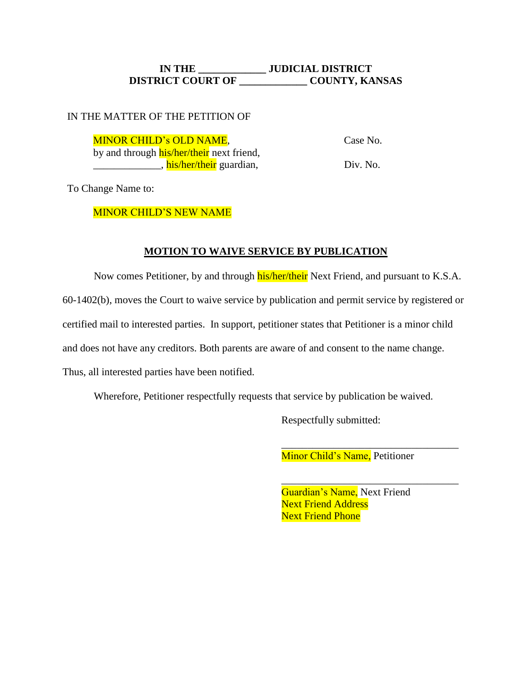# **IN THE \_\_\_\_\_\_\_\_\_\_\_\_\_ JUDICIAL DISTRICT DISTRICT COURT OF \_\_\_\_\_\_\_\_\_\_\_\_\_ COUNTY, KANSAS**

#### IN THE MATTER OF THE PETITION OF

 Case No. Div. No. MINOR CHILD's OLD NAME, by and through **his/her/their** next friend, \_\_\_\_\_\_\_\_\_\_\_\_\_\_\_, his/her/their guardian,

To Change Name to:

#### MINOR CHILD'S NEW NAME

#### **MOTION TO WAIVE SERVICE BY PUBLICATION**

Now comes Petitioner, by and through **his/her/their** Next Friend, and pursuant to K.S.A. 60-1402(b), moves the Court to waive service by publication and permit service by registered or certified mail to interested parties. In support, petitioner states that Petitioner is a minor child and does not have any creditors. Both parents are aware of and consent to the name change. Thus, all interested parties have been notified.

Wherefore, Petitioner respectfully requests that service by publication be waived.

Respectfully submitted:

Minor Child's Name, Petitioner

\_\_\_\_\_\_\_\_\_\_\_\_\_\_\_\_\_\_\_\_\_\_\_\_\_\_\_\_\_\_\_\_\_\_

\_\_\_\_\_\_\_\_\_\_\_\_\_\_\_\_\_\_\_\_\_\_\_\_\_\_\_\_\_\_\_\_\_\_

Guardian's Name, Next Friend **Next Friend Address Next Friend Phone**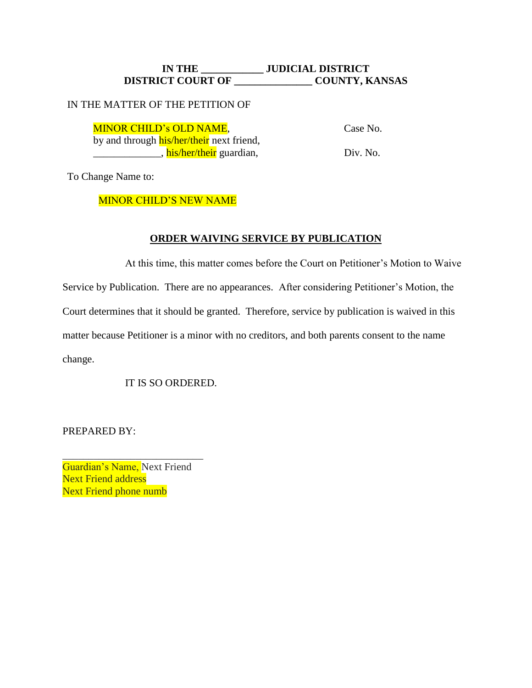## **IN THE \_\_\_\_\_\_\_\_\_\_\_\_ JUDICIAL DISTRICT DISTRICT COURT OF \_\_\_\_\_\_\_\_\_\_\_\_\_\_\_ COUNTY, KANSAS**

#### IN THE MATTER OF THE PETITION OF

MINOR CHILD's OLD NAME,

Case No.

by and through **his/her/their** next friend, \_\_\_\_\_\_\_\_\_\_\_\_\_, his/her/their guardian,

Div. No.

To Change Name to:

MINOR CHILD'S NEW NAME

## **ORDER WAIVING SERVICE BY PUBLICATION**

At this time, this matter comes before the Court on Petitioner's Motion to Waive Service by Publication. There are no appearances. After considering Petitioner's Motion, the Court determines that it should be granted. Therefore, service by publication is waived in this matter because Petitioner is a minor with no creditors, and both parents consent to the name change.

IT IS SO ORDERED.

PREPARED BY:

Guardian's Name, Next Friend Next Friend address Next Friend phone numb

\_\_\_\_\_\_\_\_\_\_\_\_\_\_\_\_\_\_\_\_\_\_\_\_\_\_\_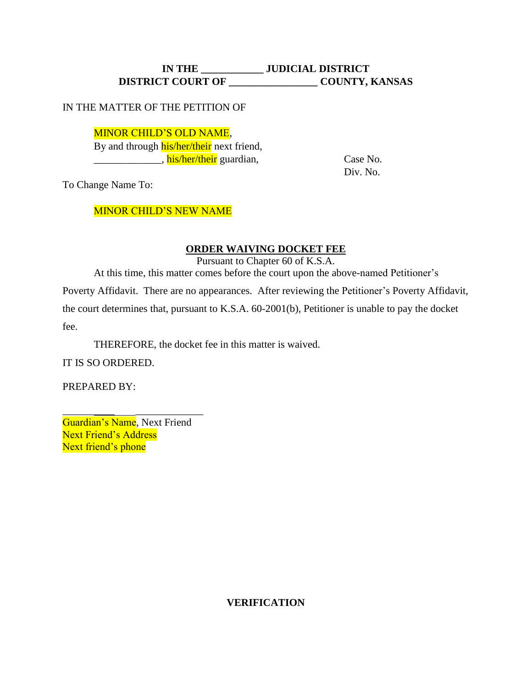# **IN THE \_\_\_\_\_\_\_\_\_\_\_\_ JUDICIAL DISTRICT DISTRICT COURT OF \_\_\_\_\_\_\_\_\_\_\_\_\_\_\_\_\_ COUNTY, KANSAS**

#### IN THE MATTER OF THE PETITION OF

MINOR CHILD'S OLD NAME, By and through his/her/their next friend, Latter Luis (niet Alexandrian, and Case No. 2014). Case No.

Div. No.

To Change Name To:

## MINOR CHILD'S NEW NAME

## **ORDER WAIVING DOCKET FEE**

Pursuant to Chapter 60 of K.S.A.

At this time, this matter comes before the court upon the above-named Petitioner's

Poverty Affidavit. There are no appearances. After reviewing the Petitioner's Poverty Affidavit, the court determines that, pursuant to K.S.A. 60-2001(b), Petitioner is unable to pay the docket fee.

THEREFORE, the docket fee in this matter is waived.

IT IS SO ORDERED.

PREPARED BY:

Guardian's Name, Next Friend Next Friend's Address Next friend's phone

\_\_\_\_\_\_\_\_\_\_\_\_\_\_\_\_\_\_\_\_\_\_\_

#### **VERIFICATION**